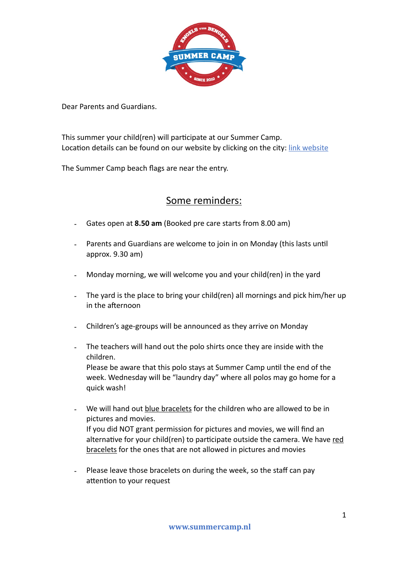

Dear Parents and Guardians.

This summer your child(ren) will participate at our Summer Camp. Location details can be found on our website by clicking on the city: [link](https://www.summercamp.nl/locaties/) website

The Summer Camp beach flags are near the entry.

## Some reminders:

- Gates open at **8.50 am** (Booked pre care starts from 8.00 am)
- Parents and Guardians are welcome to join in on Monday (this lasts until approx. 9.30 am)
- Monday morning, we will welcome you and your child(ren) in the yard
- The yard is the place to bring your child(ren) all mornings and pick him/her up in the afternoon
- Children's age-groups will be announced as they arrive on Monday
- The teachers will hand out the polo shirts once they are inside with the children.

Please be aware that this polo stays at Summer Camp until the end of the week. Wednesday will be "laundry day" where all polos may go home for a quick wash!

- We will hand out blue bracelets for the children who are allowed to be in pictures and movies. If you did NOT grant permission for pictures and movies, we will find an alternative for your child(ren) to participate outside the camera. We have red bracelets for the ones that are not allowed in pictures and movies
- Please leave those bracelets on during the week, so the staff can pay attention to your request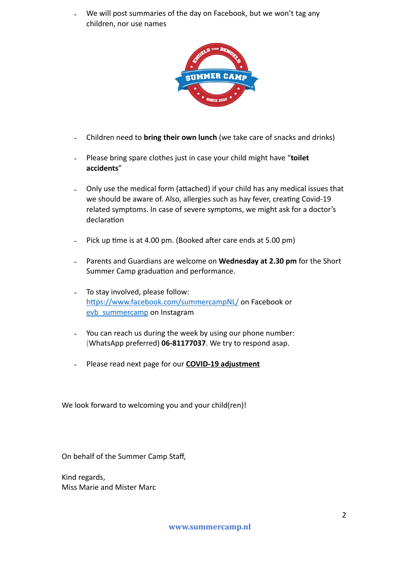We will post summaries of the day on Facebook, but we won't tag any children, nor use names



- Children need to **bring their own lunch** (we take care of snacks and drinks)
- Please bring spare clothes just in case your child might have "**toilet accidents**"
- Only use the medical form (attached) if your child has any medical issues that we should be aware of. Also, allergies such as hay fever, creating Covid-19 related symptoms. In case of severe symptoms, we might ask for a doctor's declaration
- Pick up time is at 4.00 pm. (Booked after care ends at 5.00 pm)
- Parents and Guardians are welcome on Wednesday at 2.30 pm for the Short Summer Camp graduation and performance.
- To stay involved, please follow: <https://www.facebook.com/summercampNL/> on Facebook or evb summercamp on Instagram
- You can reach us during the week by using our phone number: (WhatsApp preferred) **06-81177037**. We try to respond asap.
- Please read next page for our **COVID-19 adjustment**

We look forward to welcoming you and your child(ren)!

On behalf of the Summer Camp Staff,

Kind regards, Miss Marie and Mister Marc

**www.summercamp.nl**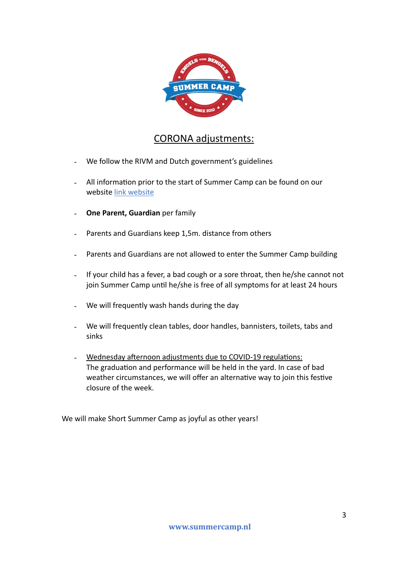

## CORONA adjustments:

- We follow the RIVM and Dutch government's guidelines
- All information prior to the start of Summer Camp can be found on our website [link](https://www.summercamp.nl/locaties/) website
- **One Parent, Guardian** per family
- Parents and Guardians keep 1,5m. distance from others
- Parents and Guardians are not allowed to enter the Summer Camp building
- If your child has a fever, a bad cough or a sore throat, then he/she cannot not join Summer Camp until he/she is free of all symptoms for at least 24 hours
- We will frequently wash hands during the day
- We will frequently clean tables, door handles, bannisters, toilets, tabs and sinks
- Wednesday afternoon adjustments due to COVID-19 regulations: The graduation and performance will be held in the yard. In case of bad weather circumstances, we will offer an alternative way to join this festive closure of the week.

We will make Short Summer Camp as joyful as other years!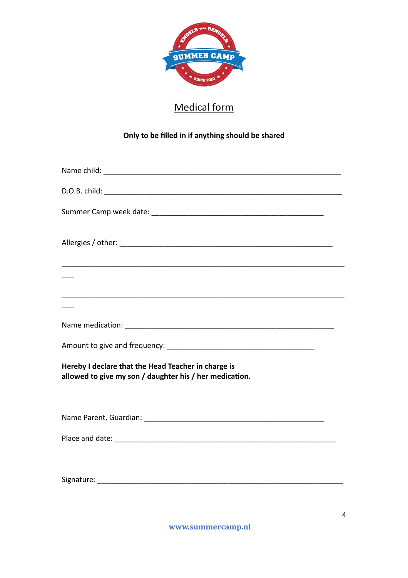

## Medical form

## **Only to be filled in if anything should be shared**

| Hereby I declare that the Head Teacher in charge is<br>allowed to give my son / daughter his / her medication. |
|----------------------------------------------------------------------------------------------------------------|
|                                                                                                                |
|                                                                                                                |
|                                                                                                                |
|                                                                                                                |

**www.summercamp.nl**